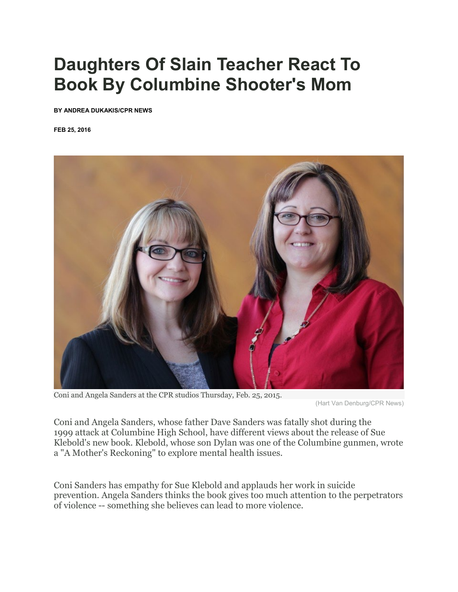# **Daughters Of Slain Teacher React To Book By Columbine Shooter's Mom**

**BY [ANDREA DUKAKIS/](https://www.cpr.org/profile/andrea-dukakis)CPR NEWS**

**FEB 25, 2016**



Coni and Angela Sanders at the CPR studios Thursday, Feb. 25, 2015.

(Hart Van Denburg/CPR News)

Coni and Angela Sanders, whose father Dave Sanders was fatally shot during the 1999 attack at Columbine High School, have different views about the release of Sue Klebold's new book. Klebold, whose son Dylan was one of the Columbine gunmen, wrote a "A Mother's Reckoning" to explore mental health issues.

Coni Sanders has empathy for Sue Klebold and applauds her work in suicide prevention. Angela Sanders thinks the book gives too much attention to the perpetrators of violence -- something she believes can lead to more violence.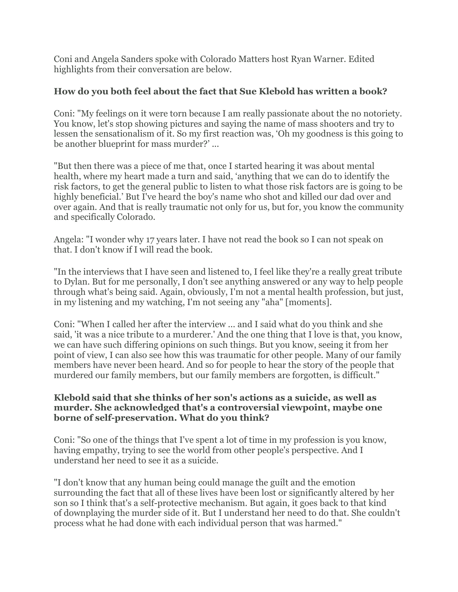Coni and Angela Sanders spoke with Colorado Matters host Ryan Warner. Edited highlights from their conversation are below.

## **How do you both feel about the fact that Sue Klebold has written a book?**

Coni: "My feelings on it were torn because I am really passionate about the no notoriety. You know, let's stop showing pictures and saying the name of mass shooters and try to lessen the sensationalism of it. So my first reaction was, 'Oh my goodness is this going to be another blueprint for mass murder?' ...

"But then there was a piece of me that, once I started hearing it was about mental health, where my heart made a turn and said, 'anything that we can do to identify the risk factors, to get the general public to listen to what those risk factors are is going to be highly beneficial.' But I've heard the boy's name who shot and killed our dad over and over again. And that is really traumatic not only for us, but for, you know the community and specifically Colorado.

Angela: "I wonder why 17 years later. I have not read the book so I can not speak on that. I don't know if I will read the book.

"In the interviews that I have seen and listened to, I feel like they're a really great tribute to Dylan. But for me personally, I don't see anything answered or any way to help people through what's being said. Again, obviously, I'm not a mental health profession, but just, in my listening and my watching, I'm not seeing any "aha" [moments].

Coni: "When I called her after the interview ... and I said what do you think and she said, 'it was a nice tribute to a murderer.' And the one thing that I love is that, you know, we can have such differing opinions on such things. But you know, seeing it from her point of view, I can also see how this was traumatic for other people. Many of our family members have never been heard. And so for people to hear the story of the people that murdered our family members, but our family members are forgotten, is difficult."

#### **Klebold said that she thinks of her son's actions as a suicide, as well as murder. She acknowledged that's a controversial viewpoint, maybe one borne of self-preservation. What do you think?**

Coni: "So one of the things that I've spent a lot of time in my profession is you know, having empathy, trying to see the world from other people's perspective. And I understand her need to see it as a suicide.

"I don't know that any human being could manage the guilt and the emotion surrounding the fact that all of these lives have been lost or significantly altered by her son so I think that's a self-protective mechanism. But again, it goes back to that kind of downplaying the murder side of it. But I understand her need to do that. She couldn't process what he had done with each individual person that was harmed."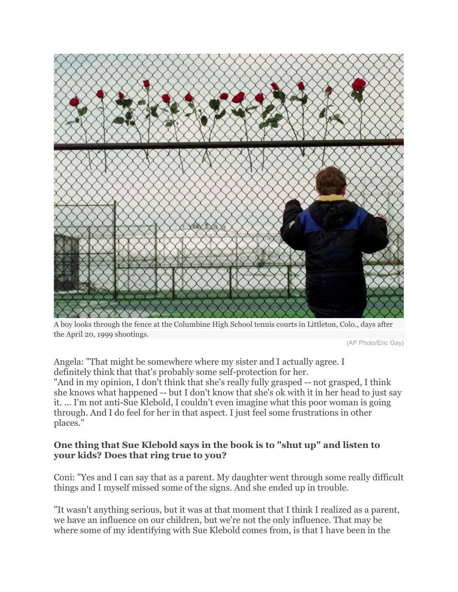

A boy looks through the fence at the Columbine High School tennis courts in Littleton, Colo., days after the April 20, 1999 shootings.

(AP Photo/Eric Gay)

Angela: "That might be somewhere where my sister and I actually agree. I definitely think that that's probably some self-protection for her. "And in my opinion, I don't think that she's really fully grasped -- not grasped, I think she knows what happened -- but I don't know that she's ok with it in her head to just say it. ... I'm not anti-Sue Klebold, I couldn't even imagine what this poor woman is going through. And I do feel for her in that aspect. I just feel some frustrations in other places."

### **One thing that Sue Klebold says in the book is to "shut up" and listen to your kids? Does that ring true to you?**

Coni: "Yes and I can say that as a parent. My daughter went through some really difficult things and I myself missed some of the signs. And she ended up in trouble.

"It wasn't anything serious, but it was at that moment that I think I realized as a parent, we have an influence on our children, but we're not the only influence. That may be where some of my identifying with Sue Klebold comes from, is that I have been in the